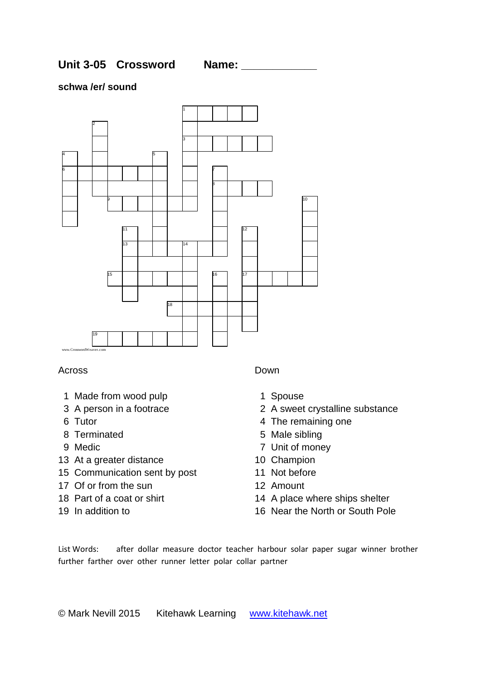## **schwa /er/ sound**



### Across

- 1 Made from wood pulp
- 3 A person in a footrace
- 6 Tutor
- 8 Terminated
- 9 Medic
- 13 At a greater distance
- 15 Communication sent by post
- 17 Of or from the sun
- 18 Part of a coat or shirt
- 19 In addition to

#### Down

- 1 Spouse
- 2 A sweet crystalline substance
- 4 The remaining one
- 5 Male sibling
- 7 Unit of money
- 10 Champion
- 11 Not before
- 12 Amount
- 14 A place where ships shelter
- 16 Near the North or South Pole

List Words: after dollar measure doctor teacher harbour solar paper sugar winner brother further farther over other runner letter polar collar partner